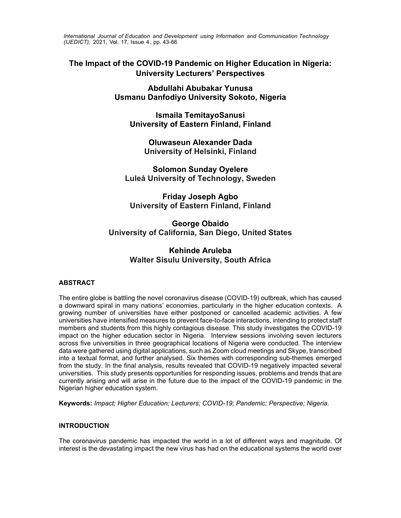*International Journal of Education and Development using Information and Communication Technology (IJEDICT),* 2021, Vol. 17, Issue 4, pp. 43-66

# **The Impact of the COVID-19 Pandemic on Higher Education in Nigeria: University Lecturers' Perspectives**

**Abdullahi Abubakar Yunusa Usmanu Danfodiyo University Sokoto, Nigeria** 

**Ismaila TemitayoSanusi University of Eastern Finland, Finland** 

**Oluwaseun Alexander Dada University of Helsinki, Finland** 

**Solomon Sunday Oyelere Luleå University of Technology, Sweden** 

**Friday Joseph Agbo University of Eastern Finland, Finland** 

**George Obaido University of California, San Diego, United States** 

# **Kehinde Aruleba Walter Sisulu University, South Africa**

# **ABSTRACT**

The entire globe is battling the novel coronavirus disease (COVID-19) outbreak, which has caused a downward spiral in many nations' economies, particularly in the higher education contexts. A growing number of universities have either postponed or cancelled academic activities. A few universities have intensified measures to prevent face-to-face interactions, intending to protect staff members and students from this highly contagious disease. This study investigates the COVID-19 impact on the higher education sector in Nigeria. Interview sessions involving seven lecturers across five universities in three geographical locations of Nigeria were conducted. The interview data were gathered using digital applications, such as Zoom cloud meetings and Skype, transcribed into a textual format, and further analysed. Six themes with corresponding sub-themes emerged from the study. In the final analysis, results revealed that COVID-19 negatively impacted several universities. This study presents opportunities for responding issues, problems and trends that are currently arising and will arise in the future due to the impact of the COVID-19 pandemic in the Nigerian higher education system.

**Keywords:** *Impact; Higher Education; Lecturers; COVID-19; Pandemic; Perspective; Nigeria.*

# **INTRODUCTION**

The coronavirus pandemic has impacted the world in a lot of different ways and magnitude. Of interest is the devastating impact the new virus has had on the educational systems the world over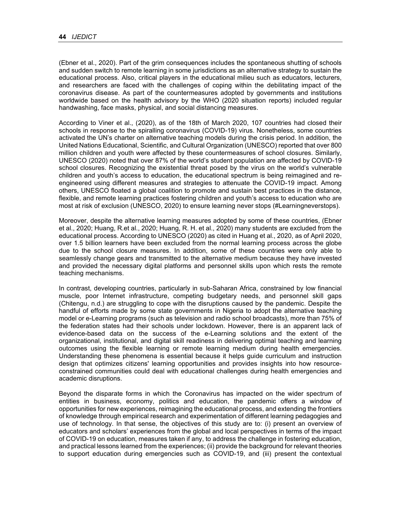(Ebner et al., 2020). Part of the grim consequences includes the spontaneous shutting of schools and sudden switch to remote learning in some jurisdictions as an alternative strategy to sustain the educational process. Also, critical players in the educational milieu such as educators, lecturers, and researchers are faced with the challenges of coping within the debilitating impact of the coronavirus disease. As part of the countermeasures adopted by governments and institutions worldwide based on the health advisory by the WHO (2020 situation reports) included regular handwashing, face masks, physical, and social distancing measures.

According to Viner et al., (2020), as of the 18th of March 2020, 107 countries had closed their schools in response to the spiralling coronavirus (COVID-19) virus. Nonetheless, some countries activated the UN's charter on alternative teaching models during the crisis period. In addition, the United Nations Educational, Scientific, and Cultural Organization (UNESCO) reported that over 800 million children and youth were affected by these countermeasures of school closures. Similarly, UNESCO (2020) noted that over 87% of the world's student population are affected by COVID-19 school closures. Recognizing the existential threat posed by the virus on the world's vulnerable children and youth's access to education, the educational spectrum is being reimagined and reengineered using different measures and strategies to attenuate the COVID-19 impact. Among others, UNESCO floated a global coalition to promote and sustain best practices in the distance, flexible, and remote learning practices fostering children and youth's access to education who are most at risk of exclusion (UNESCO, 2020) to ensure learning never stops (#Learningneverstops).

Moreover, despite the alternative learning measures adopted by some of these countries, (Ebner et al., 2020; Huang, R.et al., 2020; Huang, R. H. et al., 2020) many students are excluded from the educational process. According to UNESCO (2020) as cited in Huang et al., 2020, as of April 2020, over 1.5 billion learners have been excluded from the normal learning process across the globe due to the school closure measures. In addition, some of these countries were only able to seamlessly change gears and transmitted to the alternative medium because they have invested and provided the necessary digital platforms and personnel skills upon which rests the remote teaching mechanisms.

In contrast, developing countries, particularly in sub-Saharan Africa, constrained by low financial muscle, poor Internet infrastructure, competing budgetary needs, and personnel skill gaps (Chitengu, n.d.) are struggling to cope with the disruptions caused by the pandemic. Despite the handful of efforts made by some state governments in Nigeria to adopt the alternative teaching model or e-Learning programs (such as television and radio school broadcasts), more than 75% of the federation states had their schools under lockdown. However, there is an apparent lack of evidence-based data on the success of the e-Learning solutions and the extent of the organizational, institutional, and digital skill readiness in delivering optimal teaching and learning outcomes using the flexible learning or remote learning medium during health emergencies. Understanding these phenomena is essential because it helps guide curriculum and instruction design that optimizes citizens' learning opportunities and provides insights into how resourceconstrained communities could deal with educational challenges during health emergencies and academic disruptions.

Beyond the disparate forms in which the Coronavirus has impacted on the wider spectrum of entities in business, economy, politics and education, the pandemic offers a window of opportunities for new experiences, reimagining the educational process, and extending the frontiers of knowledge through empirical research and experimentation of different learning pedagogies and use of technology. In that sense, the objectives of this study are to: (i) present an overview of educators and scholars' experiences from the global and local perspectives in terms of the impact of COVID-19 on education, measures taken if any, to address the challenge in fostering education, and practical lessons learned from the experiences; (ii) provide the background for relevant theories to support education during emergencies such as COVID-19, and (iii) present the contextual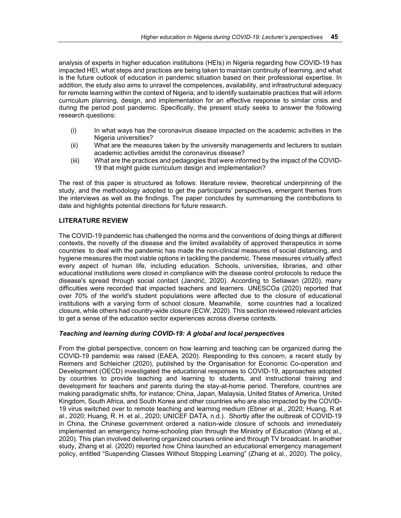analysis of experts in higher education institutions (HEIs) in Nigeria regarding how COVID-19 has impacted HEI, what steps and practices are being taken to maintain continuity of learning, and what is the future outlook of education in pandemic situation based on their professional expertise. In addition, the study also aims to unravel the competences, availability, and infrastructural adequacy for remote learning within the context of Nigeria; and to identify sustainable practices that will inform curriculum planning, design, and implementation for an effective response to similar crisis and during the period post pandemic. Specifically, the present study seeks to answer the following research questions:

- (i) In what ways has the coronavirus disease impacted on the academic activities in the Nigeria universities?
- (ii) What are the measures taken by the university managements and lecturers to sustain academic activities amidst the coronavirus disease?
- (iii) What are the practices and pedagogies that were informed by the impact of the COVID-19 that might guide curriculum design and implementation?

The rest of this paper is structured as follows: literature review, theoretical underpinning of the study, and the methodology adopted to get the participants' perspectives, emergent themes from the interviews as well as the findings. The paper concludes by summarising the contributions to date and highlights potential directions for future research.

# **LITERATURE REVIEW**

The COVID-19 pandemic has challenged the norms and the conventions of doing things at different contexts, the novelty of the disease and the limited availability of approved therapeutics in some countries to deal with the pandemic has made the non-clinical measures of social distancing, and hygiene measures the most viable options in tackling the pandemic. These measures virtually affect every aspect of human life, including education. Schools, universities, libraries, and other educational institutions were closed in compliance with the disease control protocols to reduce the disease's spread through social contact (Jandrić, 2020). According to Setiawan (2020), many difficulties were recorded that impacted teachers and learners. UNESCOa (2020) reported that over 70% of the world's student populations were affected due to the closure of educational institutions with a varying form of school closure. Meanwhile, some countries had a localized closure, while others had country-wide closure (ECW, 2020). This section reviewed relevant articles to get a sense of the education sector experiences across diverse contexts.

# *Teaching and learning during COVID-19: A global and local perspectives*

From the global perspective, concern on how learning and teaching can be organized during the COVID-19 pandemic was raised (EAEA, 2020). Responding to this concern, a recent study by Reimers and Schleicher (2020), published by the Organisation for Economic Co-operation and Development (OECD) investigated the educational responses to COVID-19, approaches adopted by countries to provide teaching and learning to students, and instructional training and development for teachers and parents during the stay-at-home period. Therefore, countries are making paradigmatic shifts, for instance; China, Japan, Malaysia, United States of America, United Kingdom, South Africa, and South Korea and other countries who are also impacted by the COVID-19 virus switched over to remote teaching and learning medium (Ebner et al., 2020; Huang, R.et al., 2020; Huang, R. H. et al., 2020; UNICEF DATA, n.d.). Shortly after the outbreak of COVID-19 in China, the Chinese government ordered a nation-wide closure of schools and immediately implemented an emergency home-schooling plan through the Ministry of Education (Wang et al., 2020). This plan involved delivering organized courses online and through TV broadcast. In another study, Zhang et al. (2020) reported how China launched an educational emergency management policy, entitled "Suspending Classes Without Stopping Learning" (Zhang et al., 2020). The policy,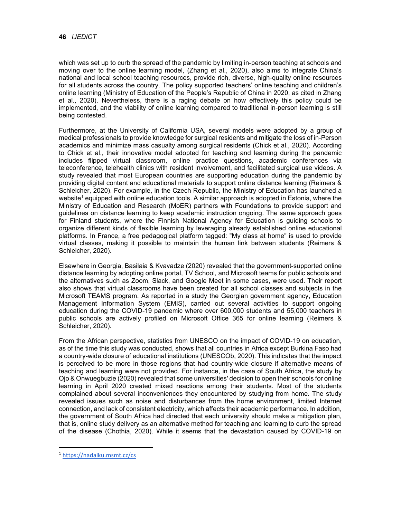which was set up to curb the spread of the pandemic by limiting in-person teaching at schools and moving over to the online learning model, (Zhang et al., 2020), also aims to integrate China's national and local school teaching resources, provide rich, diverse, high-quality online resources for all students across the country. The policy supported teachers' online teaching and children's online learning (Ministry of Education of the People's Republic of China in 2020, as cited in Zhang et al., 2020). Nevertheless, there is a raging debate on how effectively this policy could be implemented, and the viability of online learning compared to traditional in-person learning is still being contested.

Furthermore, at the University of California USA, several models were adopted by a group of medical professionals to provide knowledge for surgical residents and mitigate the loss of in-Person academics and minimize mass casualty among surgical residents (Chick et al., 2020). According to Chick et al., their innovative model adopted for teaching and learning during the pandemic includes flipped virtual classroom, online practice questions, academic conferences via teleconference, telehealth clinics with resident involvement, and facilitated surgical use videos. A study revealed that most European countries are supporting education during the pandemic by providing digital content and educational materials to support online distance learning (Reimers & Schleicher, 2020). For example, in the Czech Republic, the Ministry of Education has launched a website<sup>1</sup> equipped with online education tools. A similar approach is adopted in Estonia, where the Ministry of Education and Research (MoER) partners with Foundations to provide support and guidelines on distance learning to keep academic instruction ongoing. The same approach goes for Finland students, where the Finnish National Agency for Education is guiding schools to organize different kinds of flexible learning by leveraging already established online educational platforms. In France, a free pedagogical platform tagged: "My class at home" is used to provide virtual classes, making it possible to maintain the human link between students (Reimers & Schleicher, 2020).

Elsewhere in Georgia, Basilaia & Kvavadze (2020) revealed that the government-supported online distance learning by adopting online portal, TV School, and Microsoft teams for public schools and the alternatives such as Zoom, Slack, and Google Meet in some cases, were used. Their report also shows that virtual classrooms have been created for all school classes and subjects in the Microsoft TEAMS program. As reported in a study the Georgian government agency, Education Management Information System (EMIS), carried out several activities to support ongoing education during the COVID-19 pandemic where over 600,000 students and 55,000 teachers in public schools are actively profiled on Microsoft Office 365 for online learning (Reimers & Schleicher, 2020).

From the African perspective, statistics from UNESCO on the impact of COVID-19 on education, as of the time this study was conducted, shows that all countries in Africa except Burkina Faso had a country-wide closure of educational institutions (UNESCOb, 2020). This indicates that the impact is perceived to be more in those regions that had country-wide closure if alternative means of teaching and learning were not provided. For instance, in the case of South Africa, the study by Ojo & Onwuegbuzie (2020) revealed that some universities' decision to open their schools for online learning in April 2020 created mixed reactions among their students. Most of the students complained about several inconveniences they encountered by studying from home. The study revealed issues such as noise and disturbances from the home environment, limited Internet connection, and lack of consistent electricity, which affects their academic performance. In addition, the government of South Africa had directed that each university should make a mitigation plan, that is, online study delivery as an alternative method for teaching and learning to curb the spread of the disease (Chothia, 2020). While it seems that the devastation caused by COVID-19 on

<sup>1</sup> https://nadalku.msmt.cz/cs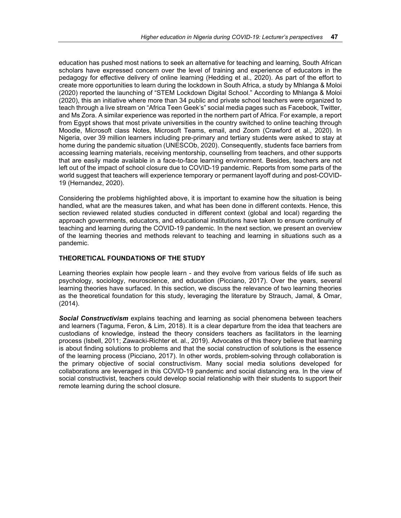education has pushed most nations to seek an alternative for teaching and learning, South African scholars have expressed concern over the level of training and experience of educators in the pedagogy for effective delivery of online learning (Hedding et al., 2020). As part of the effort to create more opportunities to learn during the lockdown in South Africa, a study by Mhlanga & Moloi (2020) reported the launching of "STEM Lockdown Digital School." According to Mhlanga & Moloi (2020), this an initiative where more than 34 public and private school teachers were organized to teach through a live stream on "Africa Teen Geek's" social media pages such as Facebook, Twitter, and Ms Zora. A similar experience was reported in the northern part of Africa. For example, a report from Egypt shows that most private universities in the country switched to online teaching through Moodle, Microsoft class Notes, Microsoft Teams, email, and Zoom (Crawford et al., 2020). In Nigeria, over 39 million learners including pre-primary and tertiary students were asked to stay at home during the pandemic situation (UNESCOb, 2020). Consequently, students face barriers from accessing learning materials, receiving mentorship, counselling from teachers, and other supports that are easily made available in a face-to-face learning environment. Besides, teachers are not left out of the impact of school closure due to COVID-19 pandemic. Reports from some parts of the world suggest that teachers will experience temporary or permanent layoff during and post-COVID-19 (Hernandez, 2020).

Considering the problems highlighted above, it is important to examine how the situation is being handled, what are the measures taken, and what has been done in different contexts. Hence, this section reviewed related studies conducted in different context (global and local) regarding the approach governments, educators, and educational institutions have taken to ensure continuity of teaching and learning during the COVID-19 pandemic. In the next section, we present an overview of the learning theories and methods relevant to teaching and learning in situations such as a pandemic.

# **THEORETICAL FOUNDATIONS OF THE STUDY**

Learning theories explain how people learn - and they evolve from various fields of life such as psychology, sociology, neuroscience, and education (Picciano, 2017). Over the years, several learning theories have surfaced. In this section, we discuss the relevance of two learning theories as the theoretical foundation for this study, leveraging the literature by Strauch, Jamal, & Omar, (2014).

*Social Constructivism* explains teaching and learning as social phenomena between teachers and learners (Taguma, Feron, & Lim, 2018). It is a clear departure from the idea that teachers are custodians of knowledge, instead the theory considers teachers as facilitators in the learning process (Isbell, 2011; Zawacki-Richter et. al., 2019). Advocates of this theory believe that learning is about finding solutions to problems and that the social construction of solutions is the essence of the learning process (Picciano, 2017). In other words, problem-solving through collaboration is the primary objective of social constructivism. Many social media solutions developed for collaborations are leveraged in this COVID-19 pandemic and social distancing era. In the view of social constructivist, teachers could develop social relationship with their students to support their remote learning during the school closure.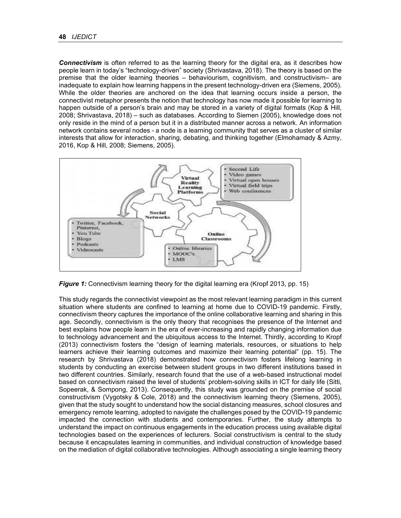*Connectivism* is often referred to as the learning theory for the digital era, as it describes how people learn in today's "technology-driven" society (Shrivastava, 2018). The theory is based on the premise that the older learning theories – behaviourism, cognitivism, and constructivism– are inadequate to explain how learning happens in the present technology-driven era (Siemens, 2005). While the older theories are anchored on the idea that learning occurs inside a person, the connectivist metaphor presents the notion that technology has now made it possible for learning to happen outside of a person's brain and may be stored in a variety of digital formats (Kop & Hill, 2008; Shrivastava, 2018) – such as databases. According to Siemen (2005), knowledge does not only reside in the mind of a person but it in a distributed manner across a network. An information network contains several nodes - a node is a learning community that serves as a cluster of similar interests that allow for interaction, sharing, debating, and thinking together (Elmohamady & Azmy, 2016, Kop & Hill, 2008; Siemens, 2005).



*Figure 1:* Connectivism learning theory for the digital learning era (Kropf 2013, pp. 15)

This study regards the connectivist viewpoint as the most relevant learning paradigm in this current situation where students are confined to learning at home due to COVID-19 pandemic. Firstly, connectivism theory captures the importance of the online collaborative learning and sharing in this age. Secondly, connectivism is the only theory that recognises the presence of the Internet and best explains how people learn in the era of ever-increasing and rapidly changing information due to technology advancement and the ubiquitous access to the Internet. Thirdly, according to Kropf (2013) connectivism fosters the "design of learning materials, resources, or situations to help learners achieve their learning outcomes and maximize their learning potential" (pp. 15). The research by Shrivastava (2018) demonstrated how connectivism fosters lifelong learning in students by conducting an exercise between student groups in two different institutions based in two different countries. Similarly, research found that the use of a web-based instructional model based on connectivism raised the level of students' problem-solving skills in ICT for daily life (Sitti, Sopeerak, & Sompong, 2013). Consequently, this study was grounded on the premise of social constructivism (Vygotsky & Cole, 2018) and the connectivism learning theory (Siemens, 2005), given that the study sought to understand how the social distancing measures, school closures and emergency remote learning, adopted to navigate the challenges posed by the COVID-19 pandemic impacted the connection with students and contemporaries. Further, the study attempts to understand the impact on continuous engagements in the education process using available digital technologies based on the experiences of lecturers. Social constructivism is central to the study because it encapsulates learning in communities, and individual construction of knowledge based on the mediation of digital collaborative technologies. Although associating a single learning theory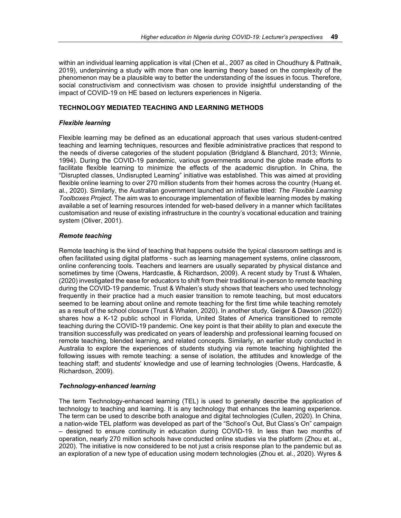within an individual learning application is vital (Chen et al., 2007 as cited in Choudhury & Pattnaik, 2019), underpinning a study with more than one learning theory based on the complexity of the phenomenon may be a plausible way to better the understanding of the issues in focus. Therefore, social constructivism and connectivism was chosen to provide insightful understanding of the impact of COVID-19 on HE based on lecturers experiences in Nigeria.

# **TECHNOLOGY MEDIATED TEACHING AND LEARNING METHODS**

# *Flexible learning*

Flexible learning may be defined as an educational approach that uses various student-centred teaching and learning techniques, resources and flexible administrative practices that respond to the needs of diverse categories of the student population (Bridgland & Blanchard, 2013; Winnie, 1994). During the COVID-19 pandemic, various governments around the globe made efforts to facilitate flexible learning to minimize the effects of the academic disruption. In China, the "Disrupted classes, Undisrupted Learning" initiative was established. This was aimed at providing flexible online learning to over 270 million students from their homes across the country (Huang et. al., 2020). Similarly, the Australian government launched an initiative titled: *The Flexible Learning Toolboxes Project*. The aim was to encourage implementation of flexible learning modes by making available a set of learning resources intended for web-based delivery in a manner which facilitates customisation and reuse of existing infrastructure in the country's vocational education and training system (Oliver, 2001).

# *Remote teaching*

Remote teaching is the kind of teaching that happens outside the typical classroom settings and is often facilitated using digital platforms - such as learning management systems, online classroom, online conferencing tools. Teachers and learners are usually separated by physical distance and sometimes by time (Owens, Hardcastle, & Richardson, 2009). A recent study by Trust & Whalen, (2020) investigated the ease for educators to shift from their traditional in-person to remote teaching during the COVID-19 pandemic. Trust & Whalen's study shows that teachers who used technology frequently in their practice had a much easier transition to remote teaching, but most educators seemed to be learning about online and remote teaching for the first time while teaching remotely as a result of the school closure (Trust & Whalen, 2020). In another study, Geiger & Dawson (2020) shares how a K-12 public school in Florida, United States of America transitioned to remote teaching during the COVID-19 pandemic. One key point is that their ability to plan and execute the transition successfully was predicated on years of leadership and professional learning focused on remote teaching, blended learning, and related concepts. Similarly, an earlier study conducted in Australia to explore the experiences of students studying via remote teaching highlighted the following issues with remote teaching: a sense of isolation, the attitudes and knowledge of the teaching staff; and students' knowledge and use of learning technologies (Owens, Hardcastle, & Richardson, 2009).

# *Technology-enhanced learning*

The term Technology-enhanced learning (TEL) is used to generally describe the application of technology to teaching and learning. It is any technology that enhances the learning experience. The term can be used to describe both analogue and digital technologies (Cullen, 2020). In China, a nation-wide TEL platform was developed as part of the "School's Out, But Class's On" campaign – designed to ensure continuity in education during COVID-19. In less than two months of operation, nearly 270 million schools have conducted online studies via the platform (Zhou et. al., 2020). The initiative is now considered to be not just a crisis response plan to the pandemic but as an exploration of a new type of education using modern technologies (Zhou et. al., 2020). Wyres &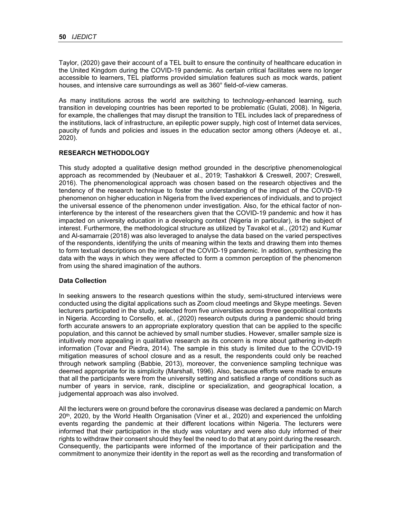Taylor, (2020) gave their account of a TEL built to ensure the continuity of healthcare education in the United Kingdom during the COVID-19 pandemic. As certain critical facilitates were no longer accessible to learners, TEL platforms provided simulation features such as mock wards, patient houses, and intensive care surroundings as well as 360° field-of-view cameras.

As many institutions across the world are switching to technology-enhanced learning, such transition in developing countries has been reported to be problematic (Gulati, 2008). In Nigeria, for example, the challenges that may disrupt the transition to TEL includes lack of preparedness of the institutions, lack of infrastructure, an epileptic power supply, high cost of Internet data services, paucity of funds and policies and issues in the education sector among others (Adeoye et. al., 2020).

# **RESEARCH METHODOLOGY**

This study adopted a qualitative design method grounded in the descriptive phenomenological approach as recommended by (Neubauer et al., 2019; Tashakkori & Creswell, 2007; Creswell, 2016). The phenomenological approach was chosen based on the research objectives and the tendency of the research technique to foster the understanding of the impact of the COVID-19 phenomenon on higher education in Nigeria from the lived experiences of individuals, and to project the universal essence of the phenomenon under investigation. Also, for the ethical factor of noninterference by the interest of the researchers given that the COVID-19 pandemic and how it has impacted on university education in a developing context (Nigeria in particular), is the subject of interest. Furthermore, the methodological structure as utilized by Tavakol et al., (2012) and Kumar and Al-samarraie (2018) was also leveraged to analyse the data based on the varied perspectives of the respondents, identifying the units of meaning within the texts and drawing them into themes to form textual descriptions on the impact of the COVID-19 pandemic. In addition, synthesizing the data with the ways in which they were affected to form a common perception of the phenomenon from using the shared imagination of the authors.

# **Data Collection**

In seeking answers to the research questions within the study, semi-structured interviews were conducted using the digital applications such as Zoom cloud meetings and Skype meetings. Seven lecturers participated in the study, selected from five universities across three geopolitical contexts in Nigeria. According to Corsello, et. al., (2020) research outputs during a pandemic should bring forth accurate answers to an appropriate exploratory question that can be applied to the specific population, and this cannot be achieved by small number studies. However, smaller sample size is intuitively more appealing in qualitative research as its concern is more about gathering in-depth information (Tovar and Piedra, 2014). The sample in this study is limited due to the COVID-19 mitigation measures of school closure and as a result, the respondents could only be reached through network sampling (Babbie, 2013), moreover, the convenience sampling technique was deemed appropriate for its simplicity (Marshall, 1996). Also, because efforts were made to ensure that all the participants were from the university setting and satisfied a range of conditions such as number of years in service, rank, discipline or specialization, and geographical location, a judgemental approach was also involved.

All the lecturers were on ground before the coronavirus disease was declared a pandemic on March  $20<sup>th</sup>$ , 2020, by the World Health Organisation (Viner et al., 2020) and experienced the unfolding events regarding the pandemic at their different locations within Nigeria. The lecturers were informed that their participation in the study was voluntary and were also duly informed of their rights to withdraw their consent should they feel the need to do that at any point during the research. Consequently, the participants were informed of the importance of their participation and the commitment to anonymize their identity in the report as well as the recording and transformation of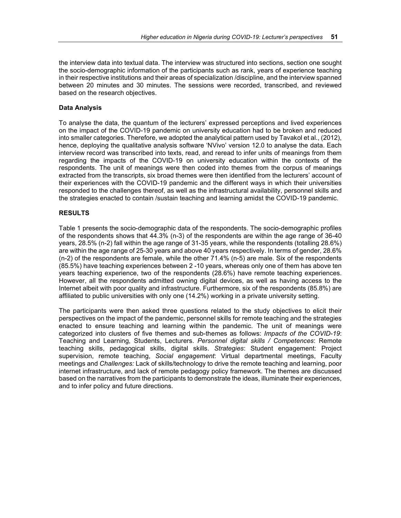the interview data into textual data. The interview was structured into sections, section one sought the socio-demographic information of the participants such as rank, years of experience teaching in their respective institutions and their areas of specialization /discipline, and the interview spanned between 20 minutes and 30 minutes. The sessions were recorded, transcribed, and reviewed based on the research objectives.

# **Data Analysis**

To analyse the data, the quantum of the lecturers' expressed perceptions and lived experiences on the impact of the COVID-19 pandemic on university education had to be broken and reduced into smaller categories. Therefore, we adopted the analytical pattern used by Tavakol et al., (2012), hence, deploying the qualitative analysis software 'NVivo' version 12.0 to analyse the data. Each interview record was transcribed into texts, read, and reread to infer units of meanings from them regarding the impacts of the COVID-19 on university education within the contexts of the respondents. The unit of meanings were then coded into themes from the corpus of meanings extracted from the transcripts, six broad themes were then identified from the lecturers' account of their experiences with the COVID-19 pandemic and the different ways in which their universities responded to the challenges thereof, as well as the infrastructural availability, personnel skills and the strategies enacted to contain /sustain teaching and learning amidst the COVID-19 pandemic.

# **RESULTS**

Table 1 presents the socio-demographic data of the respondents. The socio-demographic profiles of the respondents shows that 44.3% (n-3) of the respondents are within the age range of 36-40 years, 28.5% (n-2) fall within the age range of 31-35 years, while the respondents (totalling 28.6%) are within the age range of 25-30 years and above 40 years respectively. In terms of gender, 28.6% (n-2) of the respondents are female, while the other 71.4% (n-5) are male. Six of the respondents (85.5%) have teaching experiences between 2 -10 years, whereas only one of them has above ten years teaching experience, two of the respondents (28.6%) have remote teaching experiences. However, all the respondents admitted owning digital devices, as well as having access to the Internet albeit with poor quality and infrastructure. Furthermore, six of the respondents (85.8%) are affiliated to public universities with only one (14.2%) working in a private university setting.

The participants were then asked three questions related to the study objectives to elicit their perspectives on the impact of the pandemic, personnel skills for remote teaching and the strategies enacted to ensure teaching and learning within the pandemic. The unit of meanings were categorized into clusters of five themes and sub-themes as follows: *Impacts of the COVID-19*: Teaching and Learning, Students, Lecturers. *Personnel digital skills / Competences*: Remote teaching skills, pedagogical skills, digital skills. *Strategies*: Student engagement: Project supervision, remote teaching, *Social engagement*: Virtual departmental meetings, Faculty meetings and *Challenges:* Lack of skills/technology to drive the remote teaching and learning, poor internet infrastructure, and lack of remote pedagogy policy framework. The themes are discussed based on the narratives from the participants to demonstrate the ideas, illuminate their experiences, and to infer policy and future directions.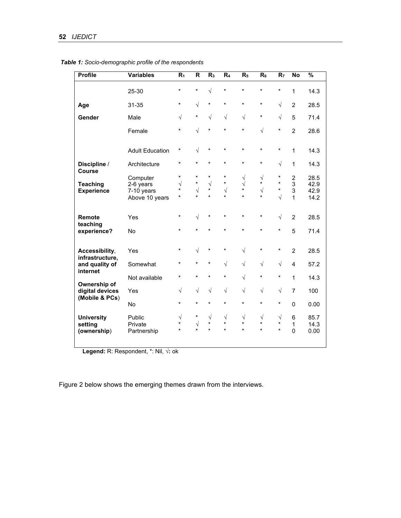| <b>Profile</b>                                    | <b>Variables</b>                                      | R <sub>1</sub>                              | $\overline{\mathsf{R}}$                     | R <sub>3</sub>                              | R <sub>4</sub>                         | R <sub>5</sub>                               | $R_6$                                          | R <sub>7</sub>                              | <b>No</b>                           | $\frac{9}{6}$                |
|---------------------------------------------------|-------------------------------------------------------|---------------------------------------------|---------------------------------------------|---------------------------------------------|----------------------------------------|----------------------------------------------|------------------------------------------------|---------------------------------------------|-------------------------------------|------------------------------|
|                                                   | 25-30                                                 | $\star$                                     | $\star$                                     | $\sqrt{}$                                   | $\star$                                | $\star$                                      | *                                              | $\star$                                     | 1                                   | 14.3                         |
| Age                                               | 31-35                                                 | $\star$                                     | $\sqrt{2}$                                  | $\star$                                     | $\star$                                | $\star$                                      | $\star$                                        | $\sqrt{}$                                   | $\overline{2}$                      | 28.5                         |
| Gender                                            | Male                                                  | $\sqrt{}$                                   | $\star$                                     | $\sqrt{ }$                                  | $\sqrt{}$                              | $\sqrt{}$                                    | $\star$                                        | $\sqrt{}$                                   | 5                                   | 71.4                         |
|                                                   | Female                                                | $\star$                                     | $\sqrt{2}$                                  | $\star$                                     | $\star$                                | $\star$                                      | $\sqrt{2}$                                     | $\star$                                     | $\overline{2}$                      | 28.6                         |
|                                                   | <b>Adult Education</b>                                | $^\star$                                    | $\sqrt{2}$                                  | $\star$                                     | $\star$                                | $\star$                                      | $\star$                                        | $\star$                                     | 1                                   | 14.3                         |
| Discipline /<br>Course                            | Architecture                                          | $\star$                                     | $\star$                                     | $\star$                                     | $\star$                                | $\star$                                      | $\star$                                        | $\sqrt{ }$                                  | 1                                   | 14.3                         |
| <b>Teaching</b><br><b>Experience</b>              | Computer<br>2-6 years<br>7-10 years<br>Above 10 years | $\star$<br>$\sqrt{ }$<br>$\star$<br>$\star$ | $\star$<br>$\star$<br>$\sqrt{ }$<br>$\star$ | $\star$<br>$\sqrt{ }$<br>$\star$<br>$\star$ | $^\star$<br>$\star$<br>$\sqrt{ }$<br>¥ | $\sqrt{}$<br>$\sqrt{}$<br>$\star$<br>$\star$ | $\sqrt{2}$<br>$\star$<br>$\sqrt{ }$<br>$\star$ | $^\star$<br>$\star$<br>$\star$<br>$\sqrt{}$ | $\overline{c}$<br>3<br>3<br>1       | 28.5<br>42.9<br>42.9<br>14.2 |
| Remote                                            | Yes                                                   | $\star$                                     | $\sqrt{}$                                   | $\star$                                     | $\star$                                | $\star$                                      | $\star$                                        | $\sqrt{}$                                   | $\overline{2}$                      | 28.5                         |
| teaching<br>experience?                           | No                                                    | $\star$                                     | $\star$                                     | $\star$                                     | $\star$                                | $\star$                                      | $\star$                                        | $^\star$                                    | 5                                   | 71.4                         |
| Accessibility,                                    | Yes                                                   | $\star$                                     | $\sqrt{ }$                                  | $^\star$                                    | *                                      | $\sqrt{}$                                    | $\star$                                        | $^\star$                                    | $\overline{2}$                      | 28.5                         |
| infrastructure,<br>and quality of<br>internet     | Somewhat                                              | $\star$                                     | $\star$                                     | *                                           | $\sqrt{}$                              | $\sqrt{}$                                    | $\sqrt{2}$                                     | $\sqrt{}$                                   | 4                                   | 57.2                         |
| Ownership of<br>digital devices<br>(Mobile & PCs) | Not available                                         | $^\star$                                    | $\star$                                     | $\star$                                     | $\star$                                | $\sqrt{2}$                                   | $\star$                                        | $\star$                                     | 1                                   | 14.3                         |
|                                                   | Yes                                                   | $\sqrt{}$                                   | $\sqrt{}$                                   | $\sqrt{ }$                                  | $\sqrt{}$                              | $\sqrt{2}$                                   | $\sqrt{}$                                      | $\sqrt{}$                                   | 7                                   | 100                          |
|                                                   | No                                                    | $\star$                                     | $\star$                                     | $\star$                                     | $\star$                                | $\star$                                      | $\star$                                        | $\star$                                     | 0                                   | 0.00                         |
| <b>University</b><br>setting<br>(ownership)       | Public<br>Private<br>Partnership                      | $\sqrt{}$<br>$\star$<br>$\star$             | $\star$<br>$\sqrt{ }$<br>$\star$            | $\sqrt{ }$<br>$\star$<br>$\star$            | $\sqrt{}$<br>$\star$<br>$\star$        | $\sqrt{\phantom{a}}$<br>$\star$<br>$\star$   | $\sqrt{}$<br>$\star$<br>$\star$                | $\sqrt{ }$<br>$\star$<br>$\star$            | 6<br>$\mathbf{1}$<br>$\overline{0}$ | 85.7<br>14.3<br>0.00         |

 *Table 1: Socio-demographic profile of the respondents*

**Legend:** R: Respondent, \*: Nil, **√:** ok

Figure 2 below shows the emerging themes drawn from the interviews.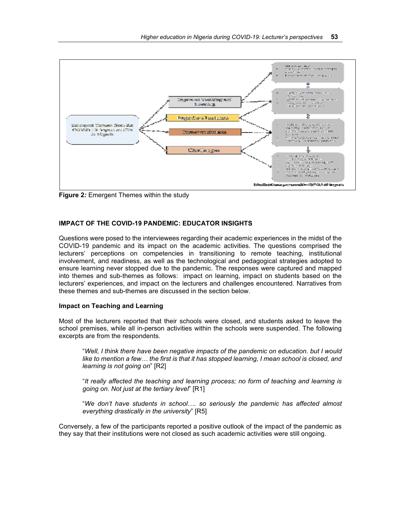

**Figure 2***:* Emergent Themes within the study

# **IMPACT OF THE COVID-19 PANDEMIC: EDUCATOR INSIGHTS**

Questions were posed to the interviewees regarding their academic experiences in the midst of the COVID-19 pandemic and its impact on the academic activities. The questions comprised the lecturers' perceptions on competencies in transitioning to remote teaching, institutional involvement, and readiness, as well as the technological and pedagogical strategies adopted to ensure learning never stopped due to the pandemic. The responses were captured and mapped into themes and sub-themes as follows: impact on learning, impact on students based on the lecturers' experiences, and impact on the lecturers and challenges encountered. Narratives from these themes and sub-themes are discussed in the section below.

### **Impact on Teaching and Learning**

Most of the lecturers reported that their schools were closed, and students asked to leave the school premises, while all in-person activities within the schools were suspended. The following excerpts are from the respondents.

"*Well, I think there have been negative impacts of the pandemic on education. but I would like to mention a few… the first is that it has stopped learning, I mean school is closed, and learning is not going on*" [R2]

"*It really affected the teaching and learning process; no form of teaching and learning is going on. Not just at the tertiary level*" [R1]

"*We don't have students in school…. so seriously the pandemic has affected almost everything drastically in the university*" [R5]

Conversely, a few of the participants reported a positive outlook of the impact of the pandemic as they say that their institutions were not closed as such academic activities were still ongoing.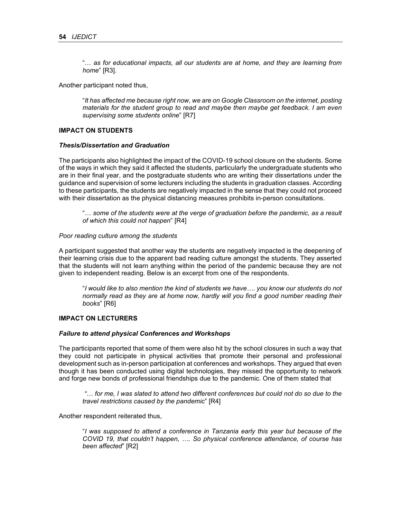"… *as for educational impacts, all our students are at home, and they are learning from home*" [R3].

Another participant noted thus,

"*It has affected me because right now, we are on Google Classroom on the internet, posting materials for the student group to read and maybe then maybe get feedback. I am even supervising some students online*" [R7]

# **IMPACT ON STUDENTS**

#### *Thesis/Dissertation and Graduation*

The participants also highlighted the impact of the COVID-19 school closure on the students. Some of the ways in which they said it affected the students, particularly the undergraduate students who are in their final year, and the postgraduate students who are writing their dissertations under the guidance and supervision of some lecturers including the students in graduation classes. According to these participants, the students are negatively impacted in the sense that they could not proceed with their dissertation as the physical distancing measures prohibits in-person consultations.

"… *some of the students were at the verge of graduation before the pandemic, as a result of which this could not happen*" [R4]

#### *Poor reading culture among the students*

A participant suggested that another way the students are negatively impacted is the deepening of their learning crisis due to the apparent bad reading culture amongst the students. They asserted that the students will not learn anything within the period of the pandemic because they are not given to independent reading. Below is an excerpt from one of the respondents.

"*I would like to also mention the kind of students we have…. you know our students do not normally read as they are at home now, hardly will you find a good number reading their books*" [R6]

# **IMPACT ON LECTURERS**

#### *Failure to attend physical Conferences and Workshops*

The participants reported that some of them were also hit by the school closures in such a way that they could not participate in physical activities that promote their personal and professional development such as in-person participation at conferences and workshops. They argued that even though it has been conducted using digital technologies, they missed the opportunity to network and forge new bonds of professional friendships due to the pandemic. One of them stated that

*"… for me, I was slated to attend two different conferences but could not do so due to the travel restrictions caused by the pandemic*" [R4]

Another respondent reiterated thus,

"*I was supposed to attend a conference in Tanzania early this year but because of the COVID 19, that couldn't happen, …. So physical conference attendance, of course has been affected*" [R2]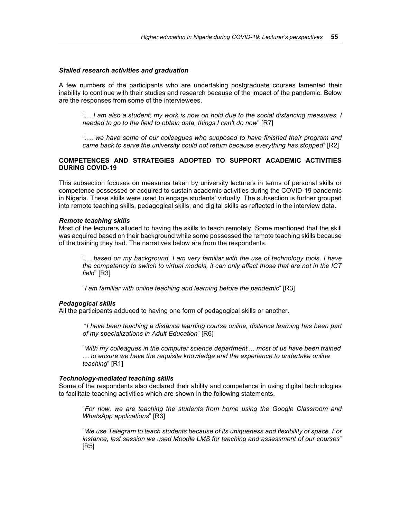#### *Stalled research activities and graduation*

A few numbers of the participants who are undertaking postgraduate courses lamented their inability to continue with their studies and research because of the impact of the pandemic. Below are the responses from some of the interviewees.

"… *I am also a student; my work is now on hold due to the social distancing measures. I needed to go to the field to obtain data, things I can't do now*" [R7]

"…. *we have some of our colleagues who supposed to have finished their program and came back to serve the university could not return because everything has stopped*" [R2]

### **COMPETENCES AND STRATEGIES ADOPTED TO SUPPORT ACADEMIC ACTIVITIES DURING COVID-19**

This subsection focuses on measures taken by university lecturers in terms of personal skills or competence possessed or acquired to sustain academic activities during the COVID-19 pandemic in Nigeria. These skills were used to engage students' virtually. The subsection is further grouped into remote teaching skills, pedagogical skills, and digital skills as reflected in the interview data.

#### *Remote teaching skills*

Most of the lecturers alluded to having the skills to teach remotely. Some mentioned that the skill was acquired based on their background while some possessed the remote teaching skills because of the training they had. The narratives below are from the respondents.

"… *based on my background, I am very familiar with the use of technology tools. I have the competency to switch to virtual models, it can only affect those that are not in the ICT field*" [R3]

"*I am familiar with online teaching and learning before the pandemic*" [R3]

#### *Pedagogical skills*

All the participants adduced to having one form of pedagogical skills or another.

 "*I have been teaching a distance learning course online, distance learning has been part of my specializations in Adult Education*" [R6]

"*With my colleagues in the computer science department ... most of us have been trained … to ensure we have the requisite knowledge and the experience to undertake online teaching*" [R1]

#### *Technology-mediated teaching skills*

Some of the respondents also declared their ability and competence in using digital technologies to facilitate teaching activities which are shown in the following statements.

"*For now, we are teaching the students from home using the Google Classroom and WhatsApp applications*" [R3]

"*We use Telegram to teach students because of its uniqueness and flexibility of space. For instance, last session we used Moodle LMS for teaching and assessment of our courses*" [R5]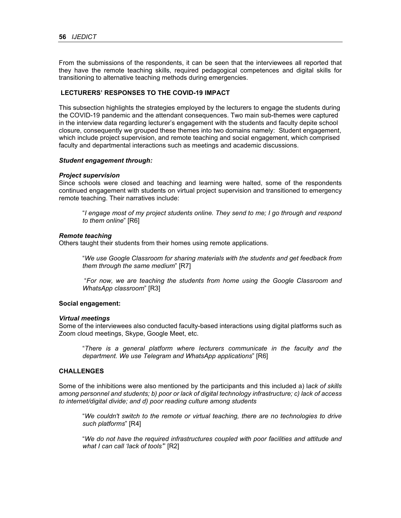From the submissions of the respondents, it can be seen that the interviewees all reported that they have the remote teaching skills, required pedagogical competences and digital skills for transitioning to alternative teaching methods during emergencies.

### **LECTURERS' RESPONSES TO THE COVID-19 IMPACT**

This subsection highlights the strategies employed by the lecturers to engage the students during the COVID-19 pandemic and the attendant consequences. Two main sub-themes were captured in the interview data regarding lecturer's engagement with the students and faculty depite school closure, consequently we grouped these themes into two domains namely: Student engagement, which include project supervision, and remote teaching and social engagement, which comprised faculty and departmental interactions such as meetings and academic discussions.

#### *Student engagement through:*

#### *Project supervision*

Since schools were closed and teaching and learning were halted, some of the respondents continued engagement with students on virtual project supervision and transitioned to emergency remote teaching. Their narratives include:

"*I engage most of my project students online. They send to me; I go through and respond to them online*" [R6]

#### *Remote teaching*

Others taught their students from their homes using remote applications.

"*We use Google Classroom for sharing materials with the students and get feedback from them through the same medium*" [R7]

 "*For now, we are teaching the students from home using the Google Classroom and WhatsApp classroom*" [R3]

#### **Social engagement:**

#### *Virtual meetings*

Some of the interviewees also conducted faculty-based interactions using digital platforms such as Zoom cloud meetings, Skype, Google Meet, etc.

"*There is a general platform where lecturers communicate in the faculty and the department. We use Telegram and WhatsApp applications*" [R6]

# **CHALLENGES**

Some of the inhibitions were also mentioned by the participants and this included a) l*ack of skills among personnel and students; b) poor or lack of digital technology infrastructure; c) lack of access to internet/digital divide; and d) poor reading culture among students* 

"*We couldn't switch to the remote or virtual teaching, there are no technologies to drive such platforms*" [R4]

"*We do not have the required infrastructures coupled with poor facilities and attitude and what I can call 'lack of tools'*" [R2]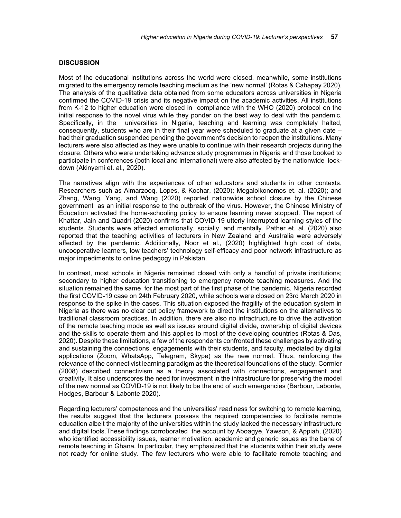# **DISCUSSION**

Most of the educational institutions across the world were closed, meanwhile, some institutions migrated to the emergency remote teaching medium as the 'new normal' (Rotas & Cahapay 2020). The analysis of the qualitative data obtained from some educators across universities in Nigeria confirmed the COVID-19 crisis and its negative impact on the academic activities. All institutions from K-12 to higher education were closed in compliance with the WHO (2020) protocol on the initial response to the novel virus while they ponder on the best way to deal with the pandemic. Specifically, in the universities in Nigeria, teaching and learning was completely halted, consequently, students who are in their final year were scheduled to graduate at a given date – had their graduation suspended pending the government's decision to reopen the institutions. Many lecturers were also affected as they were unable to continue with their research projects during the closure. Others who were undertaking advance study programmes in Nigeria and those booked to participate in conferences (both local and international) were also affected by the nationwide lockdown (Akinyemi et. al., 2020).

The narratives align with the experiences of other educators and students in other contexts. Researchers such as Almarzooq, Lopes, & Kochar, (2020); Megaloikonomos et. al. (2020); and Zhang, Wang, Yang, and Wang (2020) reported nationwide school closure by the Chinese government as an initial response to the outbreak of the virus. However, the Chinese Ministry of Education activated the home-schooling policy to ensure learning never stopped. The report of Khattar, Jain and Quadri (2020) confirms that COVID-19 utterly interrupted learning styles of the students. Students were affected emotionally, socially, and mentally. Pather et. al. (2020) also reported that the teaching activities of lecturers in New Zealand and Australia were adversely affected by the pandemic. Additionally, Noor et al., (2020) highlighted high cost of data, uncooperative learners, low teachers' technology self-efficacy and poor network infrastructure as major impediments to online pedagogy in Pakistan.

In contrast, most schools in Nigeria remained closed with only a handful of private institutions; secondary to higher education transitioning to emergency remote teaching measures. And the situation remained the same for the most part of the first phase of the pandemic. Nigeria recorded the first COVID-19 case on 24th February 2020, while schools were closed on 23rd March 2020 in response to the spike in the cases. This situation exposed the fragility of the education system in Nigeria as there was no clear cut policy framework to direct the institutions on the alternatives to traditional classroom practices. In addition, there are also no infractructure to drive the activation of the remote teaching mode as well as issues around digital divide, ownership of digital devices and the skills to operate them and this applies to most of the developing countries (Rotas & Das, 2020). Despite these limitations, a few of the respondents confronted these challenges by activating and sustaining the connections, engagements with their students, and faculty, mediated by digital applications (Zoom, WhatsApp, Telegram, Skype) as the new normal. Thus, reinforcing the relevance of the connectivist learning paradigm as the theoretical foundations of the study. Cormier (2008) described connectivism as a theory associated with connections, engagement and creativity. It also underscores the need for investment in the infrastructure for preserving the model of the new normal as COVID-19 is not likely to be the end of such emergencies (Barbour, Labonte, Hodges, Barbour & Labonte 2020).

Regarding lecturers' competences and the universities' readiness for switching to remote learning, the results suggest that the lecturers possess the required competencies to facilitate remote education albeit the majority of the universities within the study lacked the necessary infrastructure and digital tools.These findings corroborated the account by Aboagye, Yawson, & Appiah, (2020) who identified accessibility issues, learner motivation, academic and generic issues as the bane of remote teaching in Ghana. In particular, they emphasized that the students within their study were not ready for online study. The few lecturers who were able to facilitate remote teaching and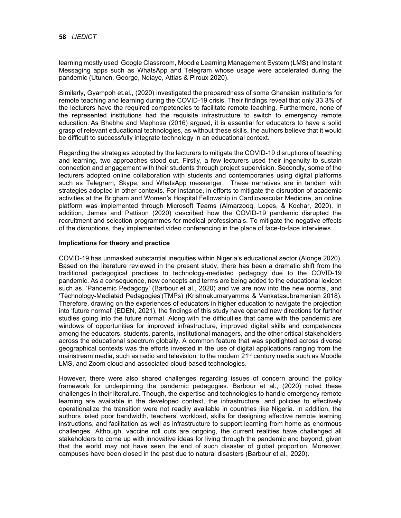learning mostly used Google Classroom, Moodle Learning Management System (LMS) and Instant Messaging apps such as WhatsApp and Telegram whose usage were accelerated during the pandemic (Utunen, George, Ndiaye, Attias & Piroux 2020).

Similarly, Gyampoh et.al., (2020) investigated the preparedness of some Ghanaian institutions for remote teaching and learning during the COVID-19 crisis. Their findings reveal that only 33.3% of the lecturers have the required competencies to facilitate remote teaching. Furthermore, none of the represented institutions had the requisite infrastructure to switch to emergency remote education. As Bhebhe and Maphosa (2016) argued, it is essential for educators to have a solid grasp of relevant educational technologies, as without these skills, the authors believe that it would be difficult to successfully integrate technology in an educational context.

Regarding the strategies adopted by the lecturers to mitigate the COVID-19 disruptions of teaching and learning, two approaches stood out. Firstly, a few lecturers used their ingenuity to sustain connection and engagement with their students through project supervision. Secondly, some of the lecturers adopted online collaboration with students and contemporaries using digital platforms such as Telegram, Skype, and WhatsApp messenger. These narratives are in tandem with strategies adopted in other contexts. For instance, in efforts to mitigate the disruption of academic activities at the Brigham and Women's Hospital Fellowship in Cardiovascular Medicine, an online platform was implemented through Microsoft Teams (Almarzooq, Lopes, & Kochar, 2020). In addition, James and Pattison (2020) described how the COVID-19 pandemic disrupted the recruitment and selection programmes for medical professionals. To mitigate the negative effects of the disruptions, they implemented video conferencing in the place of face-to-face interviews.

### **Implications for theory and practice**

COVID-19 has unmasked substantial inequities within Nigeria's educational sector (Alonge 2020). Based on the literature reviewed in the present study, there has been a dramatic shift from the traditional pedagogical practices to technology-mediated pedagogy due to the COVID-19 pandemic. As a consequence, new concepts and terms are being added to the educational lexicon such as, 'Pandemic Pedagogy' (Barbour et al., 2020) and we are now into the new normal, and 'Technology-Mediated Pedagogies'(TMPs) (Krishnakumaryamma & Venkatasubramanian 2018). Therefore, drawing on the experiences of educators in higher education to navigate the projection into 'future normal' (EDEN, 2021), the findings of this study have opened new directions for further studies going into the future normal. Along with the difficulties that came with the pandemic are windows of opportunities for improved infrastructure, improved digital skills and competences among the educators, students, parents, institutional managers, and the other critical stakeholders across the educational spectrum globally. A common feature that was spotlighted across diverse geographical contexts was the efforts invested in the use of digital applications ranging from the mainstream media, such as radio and television, to the modern 21<sup>st</sup> century media such as Moodle LMS, and Zoom cloud and associated cloud-based technologies.

However, there were also shared challenges regarding issues of concern around the policy framework for underpinning the pandemic pedagogies. Barbour et al., (2020) noted these challenges in their literature. Though, the expertise and technologies to handle emergency remote learning are available in the developed context, the infrastructure, and policies to effectively operationalize the transition were not readily available in countries like Nigeria. In addition, the authors listed poor bandwidth, teachers' workload, skills for designing effective remote learning instructions, and facilitation as well as infrastructure to support learning from home as enormous challenges. Although, vaccine roll outs are ongoing, the current realities have challenged all stakeholders to come up with innovative ideas for living through the pandemic and beyond, given that the world may not have seen the end of such disaster of global proportion. Moreover, campuses have been closed in the past due to natural disasters (Barbour et al., 2020).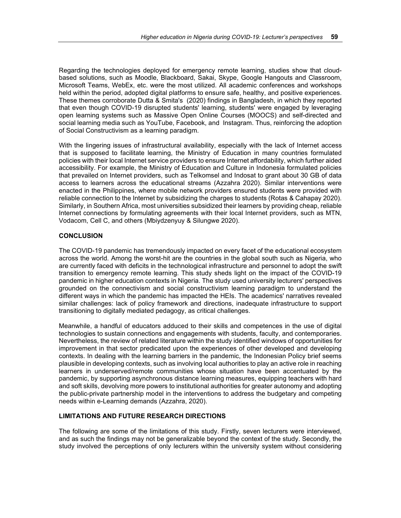Regarding the technologies deployed for emergency remote learning, studies show that cloudbased solutions, such as Moodle, Blackboard, Sakai, Skype, Google Hangouts and Classroom, Microsoft Teams, WebEx, etc. were the most utilized. All academic conferences and workshops held within the period, adopted digital platforms to ensure safe, healthy, and positive experiences. These themes corroborate Dutta & Smita's (2020) findings in Bangladesh, in which they reported that even though COVID-19 disrupted students' learning, students' were engaged by leveraging open learning systems such as Massive Open Online Courses (MOOCS) and self-directed and social learning media such as YouTube, Facebook, and Instagram. Thus, reinforcing the adoption of Social Constructivism as a learning paradigm.

With the lingering issues of infrastructural availability, especially with the lack of Internet access that is supposed to facilitate learning, the Ministry of Education in many countries formulated policies with their local Internet service providers to ensure Internet affordability, which further aided accessibility. For example, the Ministry of Education and Culture in Indonesia formulated policies that prevailed on Internet providers, such as Telkomsel and Indosat to grant about 30 GB of data access to learners across the educational streams (Azzahra 2020). Similar interventions were enacted in the Philippines, where mobile network providers ensured students were provided with reliable connection to the Internet by subsidizing the charges to students (Rotas & Cahapay 2020). Similarly, in Southern Africa, most universities subsidized their learners by providing cheap, reliable Internet connections by formulating agreements with their local Internet providers, such as MTN, Vodacom, Cell C, and others (Mbiydzenyuy & Silungwe 2020).

# **CONCLUSION**

The COVID-19 pandemic has tremendously impacted on every facet of the educational ecosystem across the world. Among the worst-hit are the countries in the global south such as Nigeria, who are currently faced with deficits in the technological infrastructure and personnel to adopt the swift transition to emergency remote learning. This study sheds light on the impact of the COVID-19 pandemic in higher education contexts in Nigeria. The study used university lecturers' perspectives grounded on the connectivism and social constructivism learning paradigm to understand the different ways in which the pandemic has impacted the HEIs. The academics' narratives revealed similar challenges: lack of policy framework and directions, inadequate infrastructure to support transitioning to digitally mediated pedagogy, as critical challenges.

Meanwhile, a handful of educators adduced to their skills and competences in the use of digital technologies to sustain connections and engagements with students, faculty, and contemporaries. Nevertheless, the review of related literature within the study identified windows of opportunities for improvement in that sector predicated upon the experiences of other developed and developing contexts. In dealing with the learning barriers in the pandemic, the Indonesian Policy brief seems plausible in developing contexts, such as involving local authorities to play an active role in reaching learners in underserved/remote communities whose situation have been accentuated by the pandemic, by supporting asynchronous distance learning measures, equipping teachers with hard and soft skills, devolving more powers to institutional authorities for greater autonomy and adopting the public-private partnership model in the interventions to address the budgetary and competing needs within e-Learning demands (Azzahra, 2020).

# **LIMITATIONS AND FUTURE RESEARCH DIRECTIONS**

The following are some of the limitations of this study. Firstly, seven lecturers were interviewed, and as such the findings may not be generalizable beyond the context of the study. Secondly, the study involved the perceptions of only lecturers within the university system without considering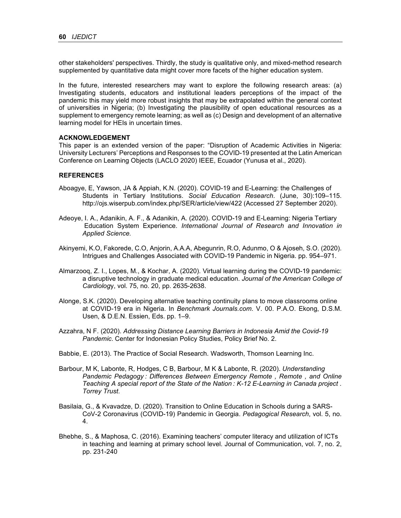other stakeholders' perspectives. Thirdly, the study is qualitative only, and mixed-method research supplemented by quantitative data might cover more facets of the higher education system.

In the future, interested researchers may want to explore the following research areas: (a) Investigating students, educators and institutional leaders perceptions of the impact of the pandemic this may yield more robust insights that may be extrapolated within the general context of universities in Nigeria; (b) Investigating the plausibility of open educational resources as a supplement to emergency remote learning; as well as (c) Design and development of an alternative learning model for HEIs in uncertain times.

#### **ACKNOWLEDGEMENT**

This paper is an extended version of the paper: "Disruption of Academic Activities in Nigeria: University Lecturers' Perceptions and Responses to the COVID-19 presented at the Latin American Conference on Learning Objects (LACLO 2020) IEEE, Ecuador (Yunusa et al., 2020).

#### **REFERENCES**

- Aboagye, E, Yawson, JA & Appiah, K.N. (2020). COVID-19 and E-Learning: the Challenges of Students in Tertiary Institutions. *Social Education Research*. (June, 30):109–115. http://ojs.wiserpub.com/index.php/SER/article/view/422 (Accessed 27 September 2020).
- Adeoye, I. A., Adanikin, A. F., & Adanikin, A. (2020). COVID-19 and E-Learning: Nigeria Tertiary Education System Experience. *International Journal of Research and Innovation in Applied Science.*
- Akinyemi, K.O, Fakorede, C.O, Anjorin, A.A.A, Abegunrin, R.O, Adunmo, O & Ajoseh, S.O. (2020). Intrigues and Challenges Associated with COVID-19 Pandemic in Nigeria. pp. 954–971.
- Almarzooq, Z. I., Lopes, M., & Kochar, A. (2020). Virtual learning during the COVID-19 pandemic: a disruptive technology in graduate medical education. *Journal of the American College of Cardiolog*y, vol. 75, no. 20, pp. 2635-2638.
- Alonge, S.K. (2020). Developing alternative teaching continuity plans to move classrooms online at COVID-19 era in Nigeria. In *Benchmark Journals.com*. V. 00. P.A.O. Ekong, D.S.M. Usen, & D.E.N. Essien, Eds. pp. 1–9.
- Azzahra, N F. (2020). *Addressing Distance Learning Barriers in Indonesia Amid the Covid-19 Pandemic*. Center for Indonesian Policy Studies, Policy Brief No. 2.
- Babbie, E. (2013). The Practice of Social Research. Wadsworth, Thomson Learning Inc.
- Barbour, M K, Labonte, R, Hodges, C B, Barbour, M K & Labonte, R. (2020). *Understanding Pandemic Pedagogy : Differences Between Emergency Remote , Remote , and Online Teaching A special report of the State of the Nation : K-12 E-Learning in Canada project . Torrey Trust*.
- Basilaia, G., & Kvavadze, D. (2020). Transition to Online Education in Schools during a SARS-CoV-2 Coronavirus (COVID-19) Pandemic in Georgia. *Pedagogical Research*, vol. 5, no. 4.
- Bhebhe, S., & Maphosa, C. (2016). Examining teachers' computer literacy and utilization of ICTs in teaching and learning at primary school level. Journal of Communication, vol. 7, no. 2, pp. 231-240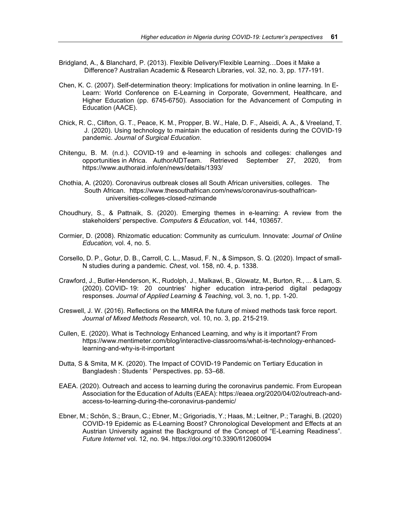- Bridgland, A., & Blanchard, P. (2013). Flexible Delivery/Flexible Learning…Does it Make a Difference? Australian Academic & Research Libraries, vol. 32, no. 3, pp. 177-191.
- Chen, K. C. (2007). Self-determination theory: Implications for motivation in online learning. In E-Learn: World Conference on E-Learning in Corporate, Government, Healthcare, and Higher Education (pp. 6745-6750). Association for the Advancement of Computing in Education (AACE).
- Chick, R. C., Clifton, G. T., Peace, K. M., Propper, B. W., Hale, D. F., Alseidi, A. A., & Vreeland, T. J. (2020). Using technology to maintain the education of residents during the COVID-19 pandemic. *Journal of Surgical Education*.
- Chitengu, B. M. (n.d.). COVID-19 and e-learning in schools and colleges: challenges and opportunities in Africa. AuthorAIDTeam. Retrieved September 27, 2020, from https://www.authoraid.info/en/news/details/1393/
- Chothia, A. (2020). Coronavirus outbreak closes all South African universities, colleges. The South African. https://www.thesouthafrican.com/news/coronavirus-southafrican universities-colleges-closed-nzimande
- Choudhury, S., & Pattnaik, S. (2020). Emerging themes in e-learning: A review from the stakeholders' perspective. *Computers & Education*, vol. 144, 103657.
- Cormier, D. (2008). Rhizomatic education: Community as curriculum. Innovate: *Journal of Online Education,* vol. 4, no. 5.
- Corsello, D. P., Gotur, D. B., Carroll, C. L., Masud, F. N., & Simpson, S. Q. (2020). Impact of small- N studies during a pandemic. *Chest*, vol. 158, n0. 4, p. 1338.
- Crawford, J., Butler-Henderson, K., Rudolph, J., Malkawi, B., Glowatz, M., Burton, R., ... & Lam, S. (2020). COVID- 19: 20 countries' higher education intra-period digital pedagogy responses. *Journal of Applied Learning & Teaching*, vol. 3, no. 1, pp. 1-20.
- Creswell, J. W. (2016). Reflections on the MMIRA the future of mixed methods task force report. *Journal of Mixed Methods Research*, vol. 10, no. 3, pp. 215-219.
- Cullen, E. (2020). What is Technology Enhanced Learning, and why is it important? From https://www.mentimeter.com/blog/interactive-classrooms/what-is-technology-enhancedlearning-and-why-is-it-important
- Dutta, S & Smita, M K. (2020). The Impact of COVID-19 Pandemic on Tertiary Education in Bangladesh : Students ' Perspectives. pp. 53–68.
- EAEA. (2020). Outreach and access to learning during the coronavirus pandemic. From European Association for the Education of Adults (EAEA): https://eaea.org/2020/04/02/outreach-andaccess-to-learning-during-the-coronavirus-pandemic/
- Ebner, M.; Schön, S.; Braun, C.; Ebner, M.; Grigoriadis, Y.; Haas, M.; Leitner, P.; Taraghi, B. (2020) COVID-19 Epidemic as E-Learning Boost? Chronological Development and Effects at an Austrian University against the Background of the Concept of "E-Learning Readiness". *Future Internet* vol. 12, no. 94. https://doi.org/10.3390/fi12060094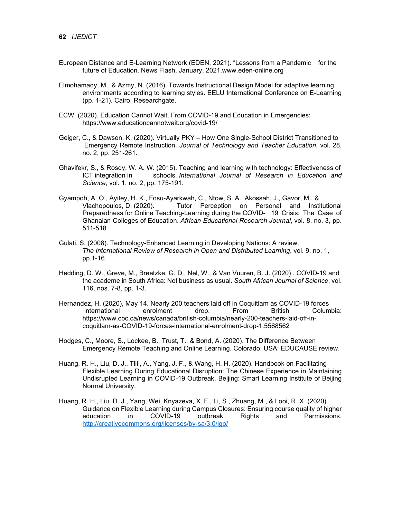- European Distance and E-Learning Network (EDEN, 2021). "Lessons from a Pandemic for the future of Education. News Flash, January, 2021.www.eden-online.org
- Elmohamady, M., & Azmy, N. (2016). Towards Instructional Design Model for adaptive learning environments according to learning styles. EELU International Conference on E-Learning (pp. 1-21). Cairo: Researchgate.
- ECW. (2020). Education Cannot Wait. From COVID-19 and Education in Emergencies: https://www.educationcannotwait.org/covid-19/
- Geiger, C., & Dawson, K. (2020). Virtually PKY How One Single-School District Transitioned to Emergency Remote Instruction. *Journal of Technology and Teacher Education*, vol. 28, no. 2, pp. 251-261.
- Ghavifekr, S., & Rosdy, W. A. W. (2015). Teaching and learning with technology: Effectiveness of ICT integration in schools*. International Journal of Research in Education and Science*, vol. 1, no. 2, pp. 175-191.
- Gyampoh, A. O., Ayitey, H. K., Fosu-Ayarkwah, C., Ntow, S. A., Akossah, J., Gavor, M., & Vlachopoulos, D. (2020). Tutor Perception on Personal and Institutional Preparedness for Online Teaching-Learning during the COVID- 19 Crisis: The Case of Ghanaian Colleges of Education. *African Educational Research Journal*, vol. 8, no. 3, pp. 511-518
- Gulati, S. (2008). Technology-Enhanced Learning in Developing Nations: A review. *The International Review of Research in Open and Distributed Learning*, vol. 9, no. 1, pp.1-16.
- Hedding, D. W., Greve, M., Breetzke, G. D., Nel, W., & Van Vuuren, B. J. (2020) . COVID-19 and the academe in South Africa: Not business as usual. *South African Journal of Science*, vol. 116, nos. 7-8, pp. 1-3.
- Hernandez, H. (2020), May 14. Nearly 200 teachers laid off in Coquitlam as COVID-19 forces international enrolment drop. From British Columbia: https://www.cbc.ca/news/canada/british-columbia/nearly-200-teachers-laid-off-incoquitlam-as-COVID-19-forces-international-enrolment-drop-1.5568562
- Hodges, C., Moore, S., Lockee, B., Trust, T., & Bond, A. (2020). The Difference Between Emergency Remote Teaching and Online Learning. Colorado, USA: EDUCAUSE review.
- Huang, R. H., Liu, D. J., Tlili, A., Yang, J. F., & Wang, H. H. (2020). Handbook on Facilitating Flexible Learning During Educational Disruption: The Chinese Experience in Maintaining Undisrupted Learning in COVID-19 Outbreak. Beijing: Smart Learning Institute of Beijing Normal University.
- Huang, R. H., Liu, D. J., Yang, Wei, Knyazeva, X. F., Li, S., Zhuang, M., & Looi, R. X. (2020). Guidance on Flexible Learning during Campus Closures: Ensuring course quality of higher education in COVID-19 outbreak Rights and Permissions. http://creativecommons.org/licenses/by-sa/3.0/igo/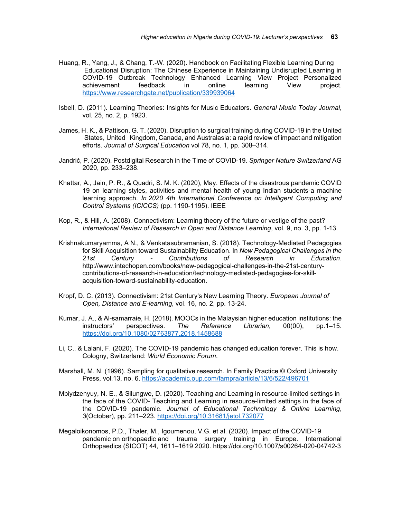- Huang, R., Yang, J., & Chang, T.-W. (2020). Handbook on Facilitating Flexible Learning During Educational Disruption: The Chinese Experience in Maintaining Undisrupted Learning in COVID-19 Outbreak Technology Enhanced Learning View Project Personalized achievement feedback in online learning View project. https://www.researchgate.net/publication/339939064
- Isbell, D. (2011). Learning Theories: Insights for Music Educators. *General Music Today Journal*, vol. 25, no. 2, p. 1923.
- James, H. K., & Pattison, G. T. (2020). Disruption to surgical training during COVID-19 in the United States, United Kingdom, Canada, and Australasia: a rapid review of impact and mitigation efforts. *Journal of Surgical Education* vol 78, no. 1, pp. 308–314.
- Jandrić, P. (2020). Postdigital Research in the Time of COVID-19. *Springer Nature Switzerland* AG 2020, pp. 233–238.
- Khattar, A., Jain, P. R., & Quadri, S. M. K. (2020), May. Effects of the disastrous pandemic COVID 19 on learning styles, activities and mental health of young Indian students-a machine learning approach. *In 2020 4th International Conference on Intelligent Computing and Control Systems (ICICCS)* (pp. 1190-1195). IEEE
- Kop, R., & Hill, A. (2008). Connectivism: Learning theory of the future or vestige of the past? *International Review of Research in Open and Distance Learning*, vol. 9, no. 3, pp. 1-13.
- Krishnakumaryamma, A N., & Venkatasubramanian, S. (2018). Technology-Mediated Pedagogies for Skill Acquisition toward Sustainability Education. In *New Pedagogical Challenges in the 21st Century - Contributions of Research in Education*. http://www.intechopen.com/books/new-pedagogical-challenges-in-the-21st-centurycontributions-of-research-in-education/technology-mediated-pedagogies-for-skillacquisition-toward-sustainability-education.
- Kropf, D. C. (2013). Connectivism: 21st Century's New Learning Theory. *European Journal of Open, Distance and E-learning*, vol. 16, no. 2, pp. 13-24.
- Kumar, J. A., & Al-samarraie, H. (2018). MOOCs in the Malaysian higher education institutions: the instructors' perspectives. *The Reference Librarian*, 00(00), pp.1–15. https://doi.org/10.1080/02763877.2018.1458688
- Li, C., & Lalani, F. (2020). The COVID-19 pandemic has changed education forever. This is how. Cologny, Switzerland: *World Economic Forum*.
- Marshall, M. N. (1996). Sampling for qualitative research. In Family Practice © Oxford University Press, vol.13, no. 6. https://academic.oup.com/fampra/article/13/6/522/496701
- Mbiydzenyuy, N. E., & Silungwe, D. (2020). Teaching and Learning in resource-limited settings in the face of the COVID- Teaching and Learning in resource-limited settings in the face of the COVID-19 pandemic. *Journal of Educational Technology & Online Learning*, *3*(October), pp. 211–223. https://doi.org/10.31681/jetol.732077
- Megaloikonomos, P.D., Thaler, M., Igoumenou, V.G. et al. (2020). Impact of the COVID-19 pandemic on orthopaedic and trauma surgery training in Europe. International Orthopaedics (SICOT) 44, 1611–1619 2020. https://doi.org/10.1007/s00264-020-04742-3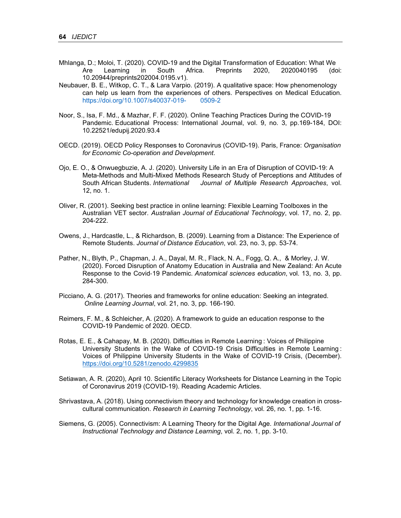- Mhlanga, D.; Moloi, T. (2020). COVID-19 and the Digital Transformation of Education: What We Are Learning in South Africa. Preprints 2020, 2020040195 (doi: 10.20944/preprints202004.0195.v1).
- Neubauer, B. E., Witkop, C. T., & Lara Varpio. (2019). A qualitative space: How phenomenology can help us learn from the experiences of others. Perspectives on Medical Education. https://doi.org/10.1007/s40037-019- 0509-2
- Noor, S., Isa, F. Md., & Mazhar, F. F. (2020). Online Teaching Practices During the COVID-19 Pandemic. Educational Process: International Journal, vol. 9, no. 3, pp.169-184, DOI: 10.22521/edupij.2020.93.4
- OECD. (2019). OECD Policy Responses to Coronavirus (COVID-19). Paris, France: *Organisation for Economic Co-operation and Development*.
- Ojo, E. O., & Onwuegbuzie, A. J. (2020). University Life in an Era of Disruption of COVID-19: A Meta-Methods and Multi-Mixed Methods Research Study of Perceptions and Attitudes of South African Students. *International Journal of Multiple Research Approaches*, vol. 12, no. 1.
- Oliver, R. (2001). Seeking best practice in online learning: Flexible Learning Toolboxes in the Australian VET sector. *Australian Journal of Educational Technology*, vol. 17, no. 2, pp. 204-222.
- Owens, J., Hardcastle, L., & Richardson, B. (2009). Learning from a Distance: The Experience of Remote Students. *Journal of Distance Education*, vol. 23, no. 3, pp. 53-74.
- Pather, N., Blyth, P., Chapman, J. A., Dayal, M. R., Flack, N. A., Fogg, Q. A., & Morley, J. W. (2020). Forced Disruption of Anatomy Education in Australia and New Zealand: An Acute Response to the Covid‐19 Pandemic*. Anatomical sciences education*, vol. 13, no. 3, pp. 284-300.
- Picciano, A. G. (2017). Theories and frameworks for online education: Seeking an integrated. *Online Learning Journal*, vol. 21, no. 3, pp. 166-190.
- Reimers, F. M., & Schleicher, A. (2020). A framework to guide an education response to the COVID-19 Pandemic of 2020. OECD.
- Rotas, E. E., & Cahapay, M. B. (2020). Difficulties in Remote Learning : Voices of Philippine University Students in the Wake of COVID-19 Crisis Difficulties in Remote Learning : Voices of Philippine University Students in the Wake of COVID-19 Crisis, (December). https://doi.org/10.5281/zenodo.4299835
- Setiawan, A. R. (2020), April 10. Scientific Literacy Worksheets for Distance Learning in the Topic of Coronavirus 2019 (COVID-19). Reading Academic Articles.
- Shrivastava, A. (2018). Using connectivism theory and technology for knowledge creation in crosscultural communication. *Research in Learning Technology*, vol. 26, no. 1, pp. 1-16.
- Siemens, G. (2005). Connectivism: A Learning Theory for the Digital Age*. International Journal of Instructional Technology and Distance Learning*, vol. 2, no. 1, pp. 3-10.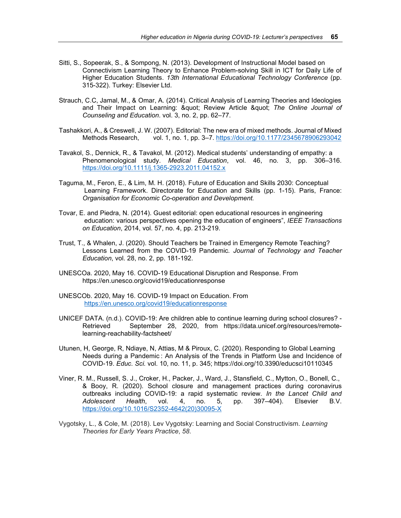- Sitti, S., Sopeerak, S., & Sompong, N. (2013). Development of Instructional Model based on Connectivism Learning Theory to Enhance Problem-solving Skill in ICT for Daily Life of Higher Education Students. *13th International Educational Technology Conference* (pp. 315-322). Turkey: Elsevier Ltd.
- Strauch, C.C, Jamal, M., & Omar, A. (2014). Critical Analysis of Learning Theories and Ideologies and Their Impact on Learning: " Review Article " The Online Journal of *Counseling and Education*. vol. 3, no. 2, pp. 62–77.
- Tashakkori, A., & Creswell, J. W. (2007). Editorial: The new era of mixed methods. Journal of Mixed Methods Research, vol. 1, no. 1, pp. 3–7. https://doi.org/10.1177/2345678906293042
- Tavakol, S., Dennick, R., & Tavakol, M. (2012). Medical students' understanding of empathy: a Phenomenological study. *Medical Education*, vol. 46, no. 3, pp. 306–316. https://doi.org/10.1111/j.1365-2923.2011.04152.x
- Taguma, M., Feron, E., & Lim, M. H. (2018). Future of Education and Skills 2030: Conceptual Learning Framework. Directorate for Education and Skills (pp. 1-15). Paris, France: *Organisation for Economic Co-operation and Development.*
- Tovar, E. and Piedra, N. (2014). Guest editorial: open educational resources in engineering education: various perspectives opening the education of engineers", *IEEE Transactions on Education*, 2014, vol. 57, no. 4, pp. 213-219.
- Trust, T., & Whalen, J. (2020). Should Teachers be Trained in Emergency Remote Teaching? Lessons Learned from the COVID-19 Pandemic*. Journal of Technology and Teacher Education*, vol. 28, no. 2, pp. 181-192.
- UNESCOa. 2020, May 16. COVID-19 Educational Disruption and Response. From https://en.unesco.org/covid19/educationresponse
- UNESCOb. 2020, May 16. COVID-19 Impact on Education. From https://en.unesco.org/covid19/educationresponse
- UNICEF DATA. (n.d.). COVID-19: Are children able to continue learning during school closures? Retrieved September 28, 2020, from https://data.unicef.org/resources/remote learning-reachability-factsheet/
- Utunen, H, George, R, Ndiaye, N, Attias, M & Piroux, C. (2020). Responding to Global Learning Needs during a Pandemic : An Analysis of the Trends in Platform Use and Incidence of COVID-19. *Educ. Sci.* vol. 10, no. 11, p. 345; https://doi.org/10.3390/educsci10110345
- Viner, R. M., Russell, S. J., Croker, H., Packer, J., Ward, J., Stansfield, C., Mytton, O., Bonell, C., & Booy, R. (2020). School closure and management practices during coronavirus outbreaks including COVID-19: a rapid systematic review. *In the Lancet Child and Adolescent Health*, vol. 4, no. 5, pp. 397–404). Elsevier B.V. https://doi.org/10.1016/S2352-4642(20)30095-X
- Vygotsky, L., & Cole, M. (2018). Lev Vygotsky: Learning and Social Constructivism. *Learning Theories for Early Years Practice*, *58*.